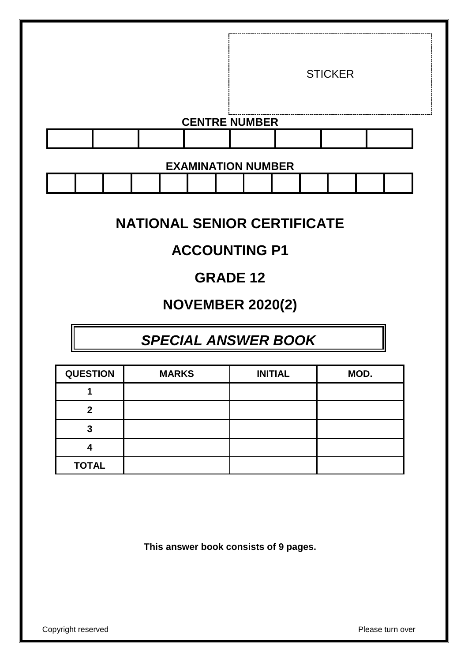|                           |  |  |  |                      |  | <b>STICKER</b> |  |
|---------------------------|--|--|--|----------------------|--|----------------|--|
|                           |  |  |  | <b>CENTRE NUMBER</b> |  |                |  |
|                           |  |  |  |                      |  |                |  |
| <b>EXAMINATION NUMBER</b> |  |  |  |                      |  |                |  |

| <b>NATIONAL SENIOR CERTIFICATE</b> |  |
|------------------------------------|--|

# **ACCOUNTING P1**

# **GRADE 12**

# **NOVEMBER 2020(2)**

# *SPECIAL ANSWER BOOK*

| <b>QUESTION</b> | <b>MARKS</b> | <b>INITIAL</b> | MOD. |
|-----------------|--------------|----------------|------|
|                 |              |                |      |
| າ               |              |                |      |
| 3               |              |                |      |
|                 |              |                |      |
| <b>TOTAL</b>    |              |                |      |

**This answer book consists of 9 pages.**

Copyright reserved **Please** turn over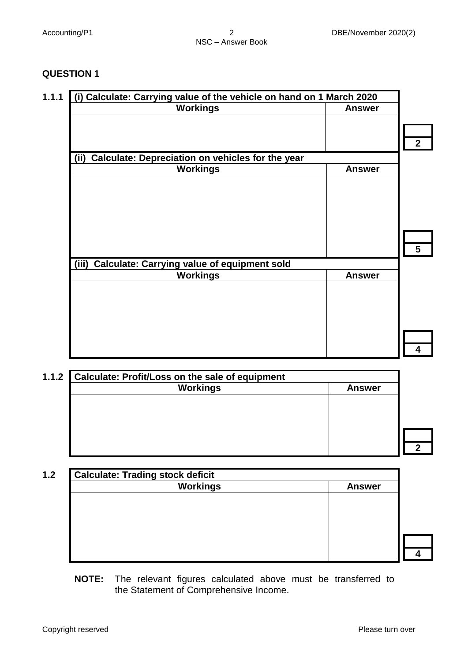## **QUESTION 1**

| (i) Calculate: Carrying value of the vehicle on hand on 1 March 2020 |               |
|----------------------------------------------------------------------|---------------|
| <b>Workings</b>                                                      | <b>Answer</b> |
|                                                                      |               |
|                                                                      |               |
|                                                                      |               |
| Calculate: Depreciation on vehicles for the year<br>(ii)             |               |
| <b>Workings</b>                                                      | <b>Answer</b> |
|                                                                      |               |
|                                                                      |               |
|                                                                      |               |
|                                                                      |               |
|                                                                      |               |
|                                                                      |               |
|                                                                      |               |
| <b>Calculate: Carrying value of equipment sold</b><br>(iii)          |               |
| <b>Workings</b>                                                      | <b>Answer</b> |
|                                                                      |               |
|                                                                      |               |
|                                                                      |               |
|                                                                      |               |
|                                                                      |               |
|                                                                      |               |
|                                                                      |               |

| <b>Answer</b> | <b>Workings</b> |
|---------------|-----------------|
|               |                 |
|               |                 |
|               |                 |
|               |                 |
|               |                 |

| Workings | <b>Answer</b> |
|----------|---------------|
|          |               |
|          |               |
|          |               |
|          |               |
|          |               |
|          |               |

**NOTE:** The relevant figures calculated above must be transferred to the Statement of Comprehensive Income.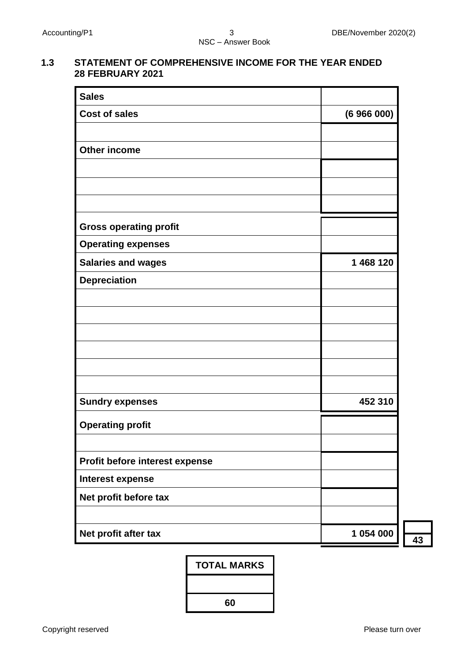#### **1.3 STATEMENT OF COMPREHENSIVE INCOME FOR THE YEAR ENDED 28 FEBRUARY 2021**

| <b>Sales</b>                   |           |
|--------------------------------|-----------|
| <b>Cost of sales</b>           | (6966000) |
|                                |           |
| <b>Other income</b>            |           |
|                                |           |
|                                |           |
|                                |           |
| <b>Gross operating profit</b>  |           |
| <b>Operating expenses</b>      |           |
| <b>Salaries and wages</b>      | 1 468 120 |
| <b>Depreciation</b>            |           |
|                                |           |
|                                |           |
|                                |           |
|                                |           |
|                                |           |
| <b>Sundry expenses</b>         | 452 310   |
|                                |           |
| <b>Operating profit</b>        |           |
|                                |           |
| Profit before interest expense |           |
| <b>Interest expense</b>        |           |
| Net profit before tax          |           |
|                                |           |
| Net profit after tax           | 1 054 000 |

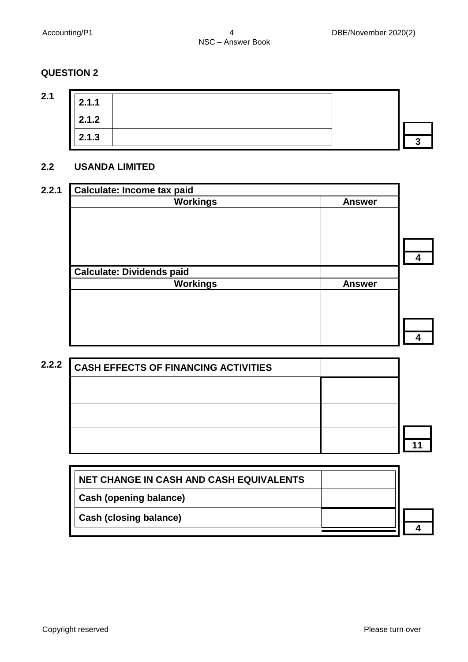# **QUESTION 2**

| v. | I |
|----|---|
|    |   |

| 2.1.1 |  |  |
|-------|--|--|
| 2.1.2 |  |  |
| 2.1.3 |  |  |

### **2.2 USANDA LIMITED**

| 2.2.1 | <b>Calculate: Income tax paid</b> |               |  |
|-------|-----------------------------------|---------------|--|
|       | <b>Workings</b>                   | <b>Answer</b> |  |
|       |                                   |               |  |
|       |                                   |               |  |
|       |                                   |               |  |
|       |                                   |               |  |
|       |                                   |               |  |
|       | <b>Calculate: Dividends paid</b>  |               |  |
|       | <b>Workings</b>                   | <b>Answer</b> |  |
|       |                                   |               |  |
|       |                                   |               |  |
|       |                                   |               |  |
|       |                                   |               |  |
|       |                                   |               |  |

| 2.2.2 | CASH EFFECTS OF FINANCING ACTIVITIES |  |
|-------|--------------------------------------|--|
|       |                                      |  |
|       |                                      |  |
|       |                                      |  |

| NET CHANGE IN CASH AND CASH EQUIVALENTS |  |  |
|-----------------------------------------|--|--|
| Cash (opening balance)                  |  |  |
| <b>Cash (closing balance)</b>           |  |  |
|                                         |  |  |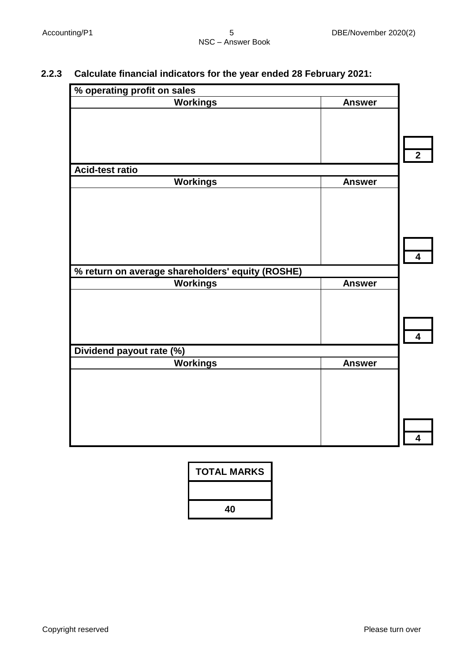# **2.2.3 Calculate financial indicators for the year ended 28 February 2021:**

| % operating profit on sales                      |               |                |
|--------------------------------------------------|---------------|----------------|
| <b>Workings</b>                                  | <b>Answer</b> |                |
|                                                  |               |                |
|                                                  |               |                |
|                                                  |               |                |
|                                                  |               | $\overline{2}$ |
| Acid-test ratio                                  |               |                |
| <b>Workings</b>                                  | <b>Answer</b> |                |
|                                                  |               |                |
|                                                  |               |                |
|                                                  |               |                |
|                                                  |               |                |
|                                                  |               |                |
|                                                  |               | 4              |
| % return on average shareholders' equity (ROSHE) |               |                |
| <b>Workings</b>                                  | <b>Answer</b> |                |
|                                                  |               |                |
|                                                  |               |                |
|                                                  |               |                |
|                                                  |               | 4              |
| Dividend payout rate (%)                         |               |                |
| <b>Workings</b>                                  | <b>Answer</b> |                |
|                                                  |               |                |
|                                                  |               |                |
|                                                  |               |                |
|                                                  |               |                |
|                                                  |               |                |
|                                                  |               | 4              |

| TOTAL MARKS |
|-------------|
|             |
| 40          |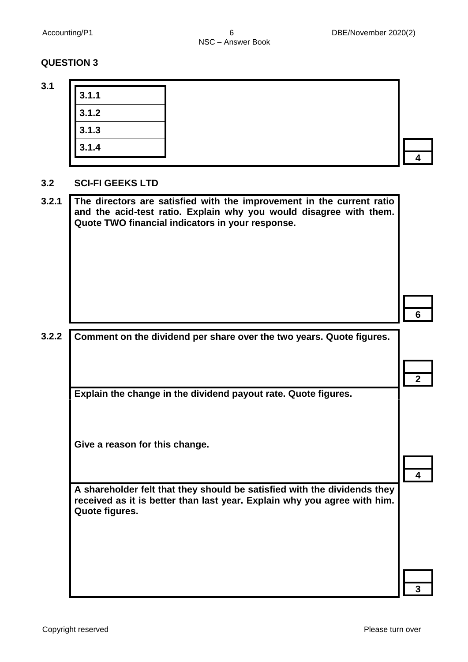**4**

**2**

**4**

**3**

## **QUESTION 3**

**3.1**

| 3.1.1 |  |
|-------|--|
| 3.1.2 |  |
| 3.1.3 |  |
| 3.1.4 |  |

### **3.2 SCI-FI GEEKS LTD**

| 3.2.1 | The directors are satisfied with the improvement in the current ratio<br>and the acid-test ratio. Explain why you would disagree with them.<br>Quote TWO financial indicators in your response. |  |
|-------|-------------------------------------------------------------------------------------------------------------------------------------------------------------------------------------------------|--|
|       |                                                                                                                                                                                                 |  |
|       |                                                                                                                                                                                                 |  |
| 3.2.2 | Comment on the dividend per share over the two years. Quote figures.                                                                                                                            |  |

**Explain the change in the dividend payout rate. Quote figures.**

**Give a reason for this change.**

**A shareholder felt that they should be satisfied with the dividends they received as it is better than last year. Explain why you agree with him. Quote figures.**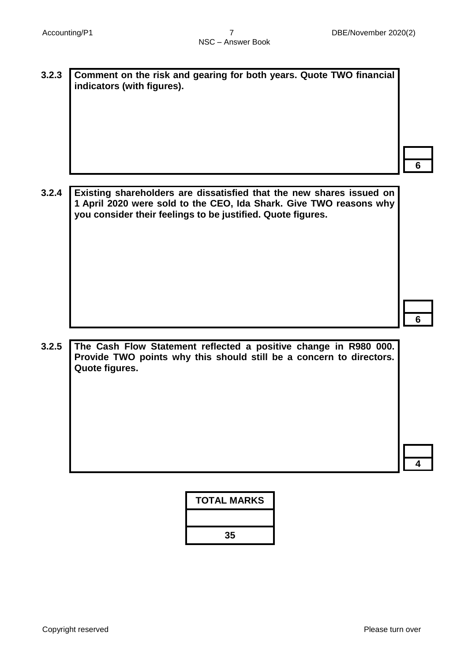**3.2.3 Comment on the risk and gearing for both years. Quote TWO financial indicators (with figures).**

**6**

**3.2.4 Existing shareholders are dissatisfied that the new shares issued on 1 April 2020 were sold to the CEO, Ida Shark. Give TWO reasons why you consider their feelings to be justified. Quote figures.**

**6**

**3.2.5 The Cash Flow Statement reflected a positive change in R980 000. Provide TWO points why this should still be a concern to directors. Quote figures.** 

**4**

| <b>TOTAL MARKS</b> |
|--------------------|
|                    |
| 35                 |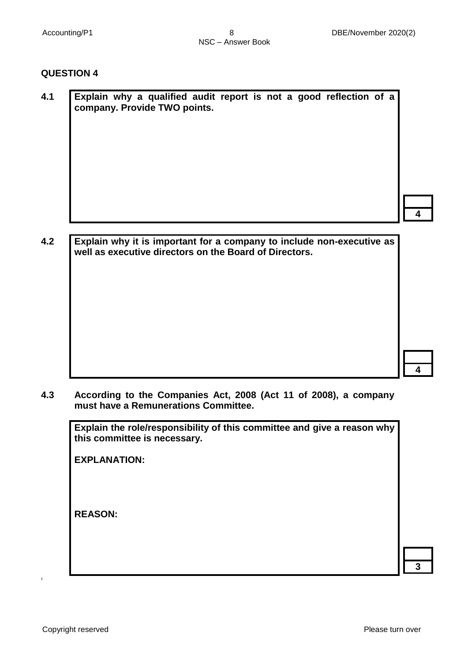**4**

**4**

#### **QUESTION 4**

| 4.1 |  | company. Provide TWO points. |  |  |  | Explain why a qualified audit report is not a good reflection of a |  |
|-----|--|------------------------------|--|--|--|--------------------------------------------------------------------|--|
|     |  |                              |  |  |  |                                                                    |  |
|     |  |                              |  |  |  |                                                                    |  |
|     |  |                              |  |  |  |                                                                    |  |

**4.2 Explain why it is important for a company to include non-executive as well as executive directors on the Board of Directors.**

**4.3 According to the Companies Act, 2008 (Act 11 of 2008), a company must have a Remunerations Committee.** 

**Explain the role/responsibility of this committee and give a reason why this committee is necessary.**

**EXPLANATION:**

**REASON:**

c

**3**